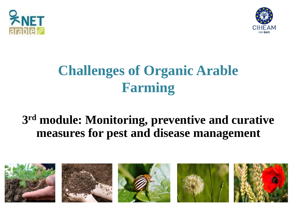



# **Challenges of Organic Arable Farming**

#### **3 rd module: Monitoring, preventive and curative measures for pest and disease management**

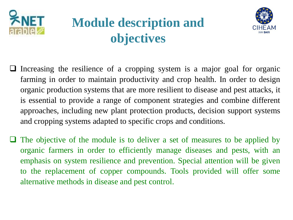

# **Module description and objectives**



- Increasing the resilience of a cropping system is a major goal for organic farming in order to maintain productivity and crop health. In order to design organic production systems that are more resilient to disease and pest attacks, it is essential to provide a range of component strategies and combine different approaches, including new plant protection products, decision support systems and cropping systems adapted to specific crops and conditions.
- The objective of the module is to deliver a set of measures to be applied by organic farmers in order to efficiently manage diseases and pests, with an emphasis on system resilience and prevention. Special attention will be given to the replacement of copper compounds. Tools provided will offer some alternative methods in disease and pest control.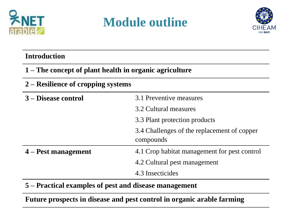

## **Module outline**



#### **Introduction**

**1 – The concept of plant health in organic agriculture**

#### **2 – Resilience of cropping systems**

| 3 – Disease control   | 3.1 Preventive measures                      |
|-----------------------|----------------------------------------------|
|                       | 3.2 Cultural measures                        |
|                       | 3.3 Plant protection products                |
|                       | 3.4 Challenges of the replacement of copper  |
|                       |                                              |
|                       | compounds                                    |
| $4 -$ Pest management | 4.1 Crop habitat management for pest control |
|                       | 4.2 Cultural pest management                 |

**5 – Practical examples of pest and disease management**

**Future prospects in disease and pest control in organic arable farming**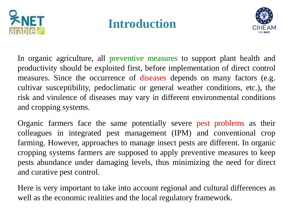

### **Introduction**



In organic agriculture, all preventive measures to support plant health and productivity should be exploited first, before implementation of direct control measures. Since the occurrence of diseases depends on many factors (e.g. cultivar susceptibility, pedoclimatic or general weather conditions, etc.), the risk and virulence of diseases may vary in different environmental conditions and cropping systems.

Organic farmers face the same potentially severe pest problems as their colleagues in integrated pest management (IPM) and conventional crop farming. However, approaches to manage insect pests are different. In organic cropping systems farmers are supposed to apply preventive measures to keep pests abundance under damaging levels, thus minimizing the need for direct and curative pest control.

Here is very important to take into account regional and cultural differences as well as the economic realities and the local regulatory framework.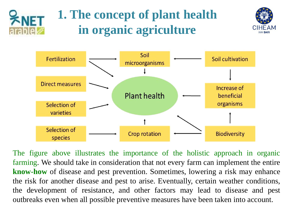# **1. The concept of plant health in organic agriculture**





The figure above illustrates the importance of the holistic approach in organic farming. We should take in consideration that not every farm can implement the entire **know-how** of disease and pest prevention. Sometimes, lowering a risk may enhance the risk for another disease and pest to arise. Eventually, certain weather conditions, the development of resistance, and other factors may lead to disease and pest outbreaks even when all possible preventive measures have been taken into account.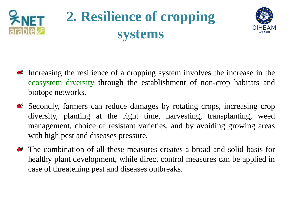

# **2. Resilience of cropping systems**



- Increasing the resilience of a cropping system involves the increase in the ecosystem diversity through the establishment of non-crop habitats and biotope networks.
- Secondly, farmers can reduce damages by rotating crops, increasing crop diversity, planting at the right time, harvesting, transplanting, weed management, choice of resistant varieties, and by avoiding growing areas with high pest and diseases pressure.
- The combination of all these measures creates a broad and solid basis for **ALC:** healthy plant development, while direct control measures can be applied in case of threatening pest and diseases outbreaks.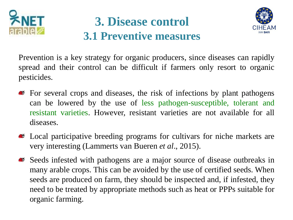

#### **3. Disease control 3.1 Preventive measures**



Prevention is a key strategy for organic producers, since diseases can rapidly spread and their control can be difficult if farmers only resort to organic pesticides.

- For several crops and diseases, the risk of infections by plant pathogens can be lowered by the use of less pathogen-susceptible, tolerant and resistant varieties. However, resistant varieties are not available for all diseases.
- Local participative breeding programs for cultivars for niche markets are very interesting (Lammerts van Bueren *et al*., 2015).
- Seeds infested with pathogens are a major source of disease outbreaks in many arable crops. This can be avoided by the use of certified seeds. When seeds are produced on farm, they should be inspected and, if infested, they need to be treated by appropriate methods such as heat or PPPs suitable for organic farming.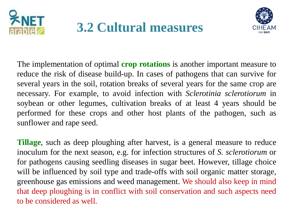



The implementation of optimal **crop rotations** is another important measure to reduce the risk of disease build-up. In cases of pathogens that can survive for several years in the soil, rotation breaks of several years for the same crop are necessary. For example, to avoid infection with *Sclerotinia sclerotiorum* in soybean or other legumes, cultivation breaks of at least 4 years should be performed for these crops and other host plants of the pathogen, such as sunflower and rape seed.

**Tillage**, such as deep ploughing after harvest, is a general measure to reduce inoculum for the next season, e.g. for infection structures of *S. sclerotiorum* or for pathogens causing seedling diseases in sugar beet. However, tillage choice will be influenced by soil type and trade-offs with soil organic matter storage, greenhouse gas emissions and weed management. We should also keep in mind that deep ploughing is in conflict with soil conservation and such aspects need to be considered as well.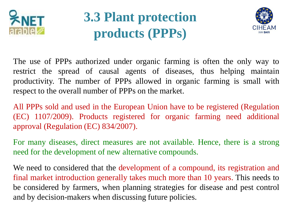

# **3.3 Plant protection products (PPPs)**



The use of PPPs authorized under organic farming is often the only way to restrict the spread of causal agents of diseases, thus helping maintain productivity. The number of PPPs allowed in organic farming is small with respect to the overall number of PPPs on the market.

All PPPs sold and used in the European Union have to be registered (Regulation (EC) 1107/2009). Products registered for organic farming need additional approval (Regulation (EC) 834/2007).

For many diseases, direct measures are not available. Hence, there is a strong need for the development of new alternative compounds.

We need to considered that the development of a compound, its registration and final market introduction generally takes much more than 10 years. This needs to be considered by farmers, when planning strategies for disease and pest control and by decision-makers when discussing future policies.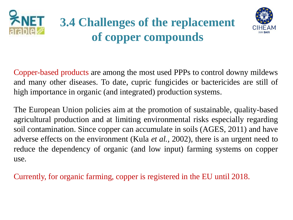

# **3.4 Challenges of the replacement of copper compounds**



Copper-based products are among the most used PPPs to control downy mildews and many other diseases. To date, cupric fungicides or bactericides are still of high importance in organic (and integrated) production systems.

The European Union policies aim at the promotion of sustainable, quality-based agricultural production and at limiting environmental risks especially regarding soil contamination. Since copper can accumulate in soils (AGES, 2011) and have adverse effects on the environment (Kula *et al.,* 2002), there is an urgent need to reduce the dependency of organic (and low input) farming systems on copper use.

Currently, for organic farming, copper is registered in the EU until 2018.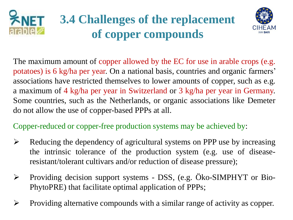



The maximum amount of copper allowed by the EC for use in arable crops (e.g. potatoes) is 6 kg/ha per year. On a national basis, countries and organic farmers' associations have restricted themselves to lower amounts of copper, such as e.g. a maximum of 4 kg/ha per year in Switzerland or 3 kg/ha per year in Germany. Some countries, such as the Netherlands, or organic associations like Demeter do not allow the use of copper-based PPPs at all.

Copper-reduced or copper-free production systems may be achieved by:

- $\triangleright$  Reducing the dependency of agricultural systems on PPP use by increasing the intrinsic tolerance of the production system (e.g. use of diseaseresistant/tolerant cultivars and/or reduction of disease pressure);
- Providing decision support systems DSS, (e.g. Öko-SIMPHYT or Bio-PhytoPRE) that facilitate optimal application of PPPs;
- $\triangleright$  Providing alternative compounds with a similar range of activity as copper.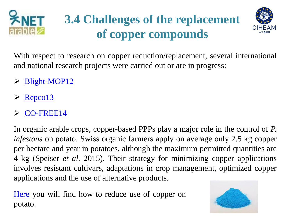

# **3.4 Challenges of the replacement of copper compounds**



With respect to research on copper reduction/replacement, several international and national research projects were carried out or are in progress:

- > [Blight-MOP12](http://research.ncl.ac.uk/nefg/blightmop/page.php?page=1)
- [Repco13](http://cordis.europa.eu/project/rcn/73843_en.html)
- [CO-FREE14](http://www.co-free.eu/)

In organic arable crops, copper-based PPPs play a major role in the control of *P. infestans* on potato. Swiss organic farmers apply on average only 2.5 kg copper per hectare and year in potatoes, although the maximum permitted quantities are 4 kg (Speiser *et al*. 2015). Their strategy for minimizing copper applications involves resistant cultivars, adaptations in crop management, optimized copper applications and the use of alternative products.

[Here](http://farmknowledge.org/index.php/search-for-ok-tools?v=31028) you will find how to reduce use of copper on potato.

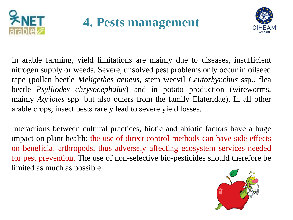

**4. Pests management** 



In arable farming, yield limitations are mainly due to diseases, insufficient nitrogen supply or weeds. Severe, unsolved pest problems only occur in oilseed rape (pollen beetle *Meligethes aeneus*, stem weevil *Ceutorhynchus* ssp., flea beetle *Psylliodes chrysocephalus*) and in potato production (wireworms, mainly *Agriotes* spp. but also others from the family Elateridae). In all other arable crops, insect pests rarely lead to severe yield losses.

Interactions between cultural practices, biotic and abiotic factors have a huge impact on plant health: the use of direct control methods can have side effects on beneficial arthropods, thus adversely affecting ecosystem services needed for pest prevention. The use of non-selective bio-pesticides should therefore be limited as much as possible.

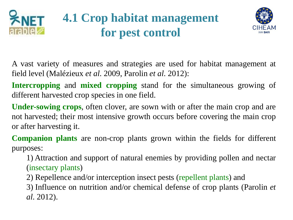



A vast variety of measures and strategies are used for habitat management at field level (Malézieux *et al*. 2009, Parolin *et al*. 2012):

**Intercropping** and **mixed cropping** stand for the simultaneous growing of different harvested crop species in one field.

**Under-sowing crops**, often clover, are sown with or after the main crop and are not harvested; their most intensive growth occurs before covering the main crop or after harvesting it.

**Companion plants** are non-crop plants grown within the fields for different purposes:

1) Attraction and support of natural enemies by providing pollen and nectar (insectary plants)

2) Repellence and/or interception insect pests (repellent plants) and

3) Influence on nutrition and/or chemical defense of crop plants (Parolin *et al*. 2012).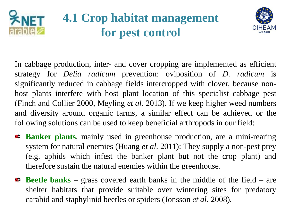

## **4.1 Crop habitat management for pest control**



In cabbage production, inter- and cover cropping are implemented as efficient strategy for *Delia radicum* prevention: oviposition of *D. radicum* is significantly reduced in cabbage fields intercropped with clover, because nonhost plants interfere with host plant location of this specialist cabbage pest (Finch and Collier 2000, Meyling *et al*. 2013). If we keep higher weed numbers and diversity around organic farms, a similar effect can be achieved or the following solutions can be used to keep beneficial arthropods in our field:

- **Banker plants**, mainly used in greenhouse production, are a mini-rearing system for natural enemies (Huang *et al*. 2011): They supply a non-pest prey (e.g. aphids which infest the banker plant but not the crop plant) and therefore sustain the natural enemies within the greenhouse.
- **Beetle banks** grass covered earth banks in the middle of the field are shelter habitats that provide suitable over wintering sites for predatory carabid and staphylinid beetles or spiders (Jonsson *et al*. 2008).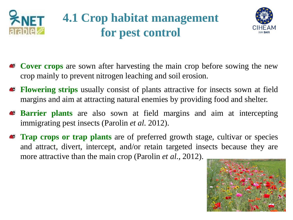



- **Cover crops** are sown after harvesting the main crop before sowing the new crop mainly to prevent nitrogen leaching and soil erosion.
- **Flowering strips** usually consist of plants attractive for insects sown at field  $\bullet$ margins and aim at attracting natural enemies by providing food and shelter.
- **Barrier plants** are also sown at field margins and aim at intercepting **CC** immigrating pest insects (Parolin *et al*. 2012).
- **Trap crops or trap plants** are of preferred growth stage, cultivar or species and attract, divert, intercept, and/or retain targeted insects because they are more attractive than the main crop (Parolin *et al*., 2012).

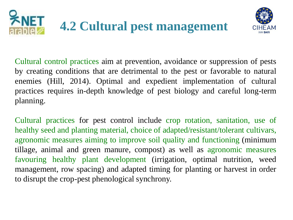



Cultural control practices aim at prevention, avoidance or suppression of pests by creating conditions that are detrimental to the pest or favorable to natural enemies (Hill, 2014). Optimal and expedient implementation of cultural practices requires in-depth knowledge of pest biology and careful long-term planning.

Cultural practices for pest control include crop rotation, sanitation, use of healthy seed and planting material, choice of adapted/resistant/tolerant cultivars, agronomic measures aiming to improve soil quality and functioning (minimum tillage, animal and green manure, compost) as well as agronomic measures favouring healthy plant development (irrigation, optimal nutrition, weed management, row spacing) and adapted timing for planting or harvest in order to disrupt the crop-pest phenological synchrony.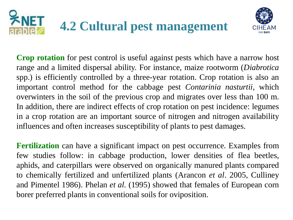



**Crop rotation** for pest control is useful against pests which have a narrow host range and a limited dispersal ability. For instance, maize rootworm (*Diabrotica* spp.) is efficiently controlled by a three-year rotation. Crop rotation is also an important control method for the cabbage pest *Contarinia nasturtii*, which overwinters in the soil of the previous crop and migrates over less than 100 m. In addition, there are indirect effects of crop rotation on pest incidence: legumes in a crop rotation are an important source of nitrogen and nitrogen availability influences and often increases susceptibility of plants to pest damages.

**Fertilization** can have a significant impact on pest occurrence. Examples from few studies follow: in cabbage production, lower densities of flea beetles, aphids, and caterpillars were observed on organically manured plants compared to chemically fertilized and unfertilized plants (Arancon *et al*. 2005, Culliney and Pimentel 1986). Phelan *et al*. (1995) showed that females of European corn borer preferred plants in conventional soils for oviposition.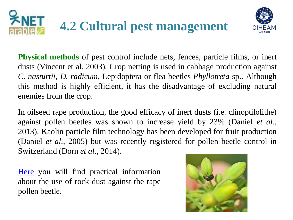



**Physical methods** of pest control include nets, fences, particle films, or inert dusts (Vincent et al. 2003). Crop netting is used in cabbage production against *C. nasturtii*, *D. radicum*, Lepidoptera or flea beetles *Phyllotreta* sp.. Although this method is highly efficient, it has the disadvantage of excluding natural enemies from the crop.

In oilseed rape production, the good efficacy of inert dusts (i.e. clinoptilolithe) against pollen beetles was shown to increase yield by 23% (Daniel *et al*., 2013). Kaolin particle film technology has been developed for fruit production (Daniel *et al.,* 2005) but was recently registered for pollen beetle control in Switzerland (Dorn *et al*., 2014).

[Here](http://farmknowledge.org/index.php/search-for-ok-tools?v=31036) you will find practical information about the use of rock dust against the rape pollen beetle.

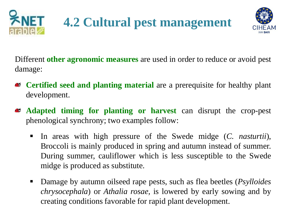



Different **other agronomic measures** are used in order to reduce or avoid pest damage:

- **Certified seed and planting material** are a prerequisite for healthy plant **AC** development.
- **Adapted timing for planting or harvest** can disrupt the crop-pest **CO** phenological synchrony; two examples follow:
	- In areas with high pressure of the Swede midge (*C. nasturtii*), Broccoli is mainly produced in spring and autumn instead of summer. During summer, cauliflower which is less susceptible to the Swede midge is produced as substitute.
	- Damage by autumn oilseed rape pests, such as flea beetles (*Psylloides*) *chrysocephala*) or *Athalia rosae,* is lowered by early sowing and by creating conditions favorable for rapid plant development.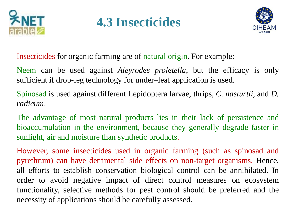

## **4.3 Insecticides**



Insecticides for organic farming are of natural origin. For example:

Neem can be used against *Aleyrodes proletella*, but the efficacy is only sufficient if drop-leg technology for under–leaf application is used.

Spinosad is used against different Lepidoptera larvae, thrips, *C. nasturtii*, and *D. radicum*.

The advantage of most natural products lies in their lack of persistence and bioaccumulation in the environment, because they generally degrade faster in sunlight, air and moisture than synthetic products.

However, some insecticides used in organic farming (such as spinosad and pyrethrum) can have detrimental side effects on non-target organisms. Hence, all efforts to establish conservation biological control can be annihilated. In order to avoid negative impact of direct control measures on ecosystem functionality, selective methods for pest control should be preferred and the necessity of applications should be carefully assessed.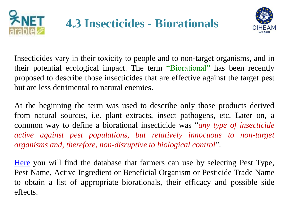



Insecticides vary in their toxicity to people and to non-target organisms, and in their potential ecological impact. The term "Biorational" has been recently proposed to describe those insecticides that are effective against the target pest but are less detrimental to natural enemies.

At the beginning the term was used to describe only those products derived from natural sources, i.e. plant extracts, insect pathogens, etc. Later on, a common way to define a biorational insecticide was "*any type of insecticide active against pest populations, but relatively innocuous to non-target organisms and, therefore, non-disruptive to biological control*".

[Here](http://farmknowledge.org/index.php/search-for-ok-tools?v=30583) you will find the database that farmers can use by selecting Pest Type, Pest Name, Active Ingredient or Beneficial Organism or Pesticide Trade Name to obtain a list of appropriate biorationals, their efficacy and possible side effects.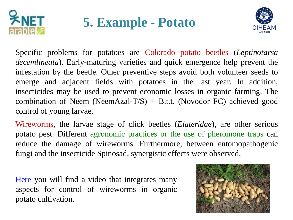

# **5. Example - Potato**



Specific problems for potatoes are Colorado potato beetles (*Leptinotarsa decemlineata*). Early-maturing varieties and quick emergence help prevent the infestation by the beetle. Other preventive steps avoid both volunteer seeds to emerge and adjacent fields with potatoes in the last year. In addition, insecticides may be used to prevent economic losses in organic farming. The combination of Neem (NeemAzal-T/S) + B.t.t. (Novodor FC) achieved good control of young larvae.

Wireworms, the larvae stage of click beetles (*Elateridae*), are other serious potato pest. Different agronomic practices or the use of pheromone traps can reduce the damage of wireworms. Furthermore, between entomopathogenic fungi and the insecticide Spinosad, synergistic effects were observed.

[Here](http://farmknowledge.org/index.php/search-for-ok-tools?v=30995) you will find a video that integrates many aspects for control of wireworms in organic potato cultivation.

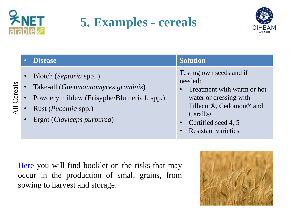

All Cereals

# **5. Examples - cereals**



#### • Disease **Solution Solution**

- Blotch (*Septoria* spp. )
- Take-all (*Gaeumannomyces graminis*)
- Powdery mildew (Erisyphe/Blumeria f. spp.)
- Rust (*Puccinia* spp.)
- Ergot (*Claviceps purpurea*)

Testing own seeds and if needed:

- Treatment with warm or hot water or dressing with Tillecur®, Cedomon® and Cerall®
- Certified seed 4, 5
- Resistant varieties

[Here](http://farmknowledge.org/index.php/search-for-ok-tools?v=30587) you will find booklet on the risks that may occur in the production of small grains, from sowing to harvest and storage.

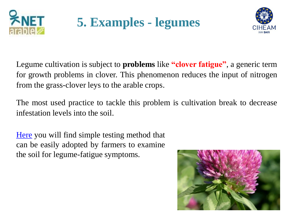

**5. Examples - legumes**



Legume cultivation is subject to **problems** like **"clover fatigue"**, a generic term for growth problems in clover. This phenomenon reduces the input of nitrogen from the grass-clover leys to the arable crops.

The most used practice to tackle this problem is cultivation break to decrease infestation levels into the soil.

[Here](http://farmknowledge.org/index.php/search-for-ok-tools?v=31023) you will find simple testing method that can be easily adopted by farmers to examine the soil for legume-fatigue symptoms.

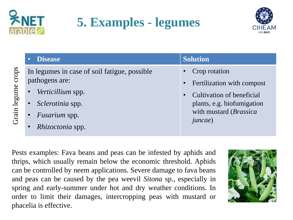

# **5. Examples - legumes**



**Disease Solution** Grain legume crops Grain legume crops In legumes in case of soil fatigue, possible pathogens are: • *Verticillium* spp. • *Sclerotinia* spp. • *Fusarium* spp.

• *Rhizoctonia* spp.

#### • Crop rotation

- Fertilization with compost
- Cultivation of beneficial plants, e.g. biofumigation with mustard (*Brassica juncae*)

Pests examples: Fava beans and peas can be infested by aphids and thrips, which usually remain below the economic threshold. Aphids can be controlled by neem applications. Severe damage to fava beans and peas can be caused by the pea weevil *Sitona* sp., especially in spring and early-summer under hot and dry weather conditions. In order to limit their damages, intercropping peas with mustard or phacelia is effective.

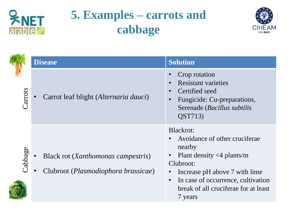

# **5. Examples – carrots and cabbage**



|         | <b>Disease</b>                                                                     | <b>Solution</b>                                                                                                                                                                                                                           |
|---------|------------------------------------------------------------------------------------|-------------------------------------------------------------------------------------------------------------------------------------------------------------------------------------------------------------------------------------------|
| Carrots | Carrot leaf blight (Alternaria dauci)                                              | Crop rotation<br><b>Resistant varieties</b><br>Certified seed<br>Fungicide: Cu-preparations,<br>Serenade (Bacillus subtilis<br>QST713)                                                                                                    |
| Cabbage | Black rot (Xanthomonas campestris)<br>Clubroot ( <i>Plasmodiophora brassicae</i> ) | Blackrot:<br>Avoidance of other cruciferae<br>nearby<br>Plant density $\langle 4 \rangle$ plants/m<br>Clubroot:<br>Increase pH above 7 with lime<br>In case of occurrence, cultivation<br>break of all cruciferae for at least<br>7 years |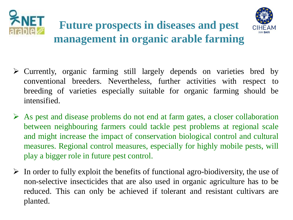



#### **Future prospects in diseases and pest management in organic arable farming**

- $\triangleright$  Currently, organic farming still largely depends on varieties bred by conventional breeders. Nevertheless, further activities with respect to breeding of varieties especially suitable for organic farming should be intensified.
- $\triangleright$  As pest and disease problems do not end at farm gates, a closer collaboration between neighbouring farmers could tackle pest problems at regional scale and might increase the impact of conservation biological control and cultural measures. Regional control measures, especially for highly mobile pests, will play a bigger role in future pest control.
- $\triangleright$  In order to fully exploit the benefits of functional agro-biodiversity, the use of non-selective insecticides that are also used in organic agriculture has to be reduced. This can only be achieved if tolerant and resistant cultivars are planted.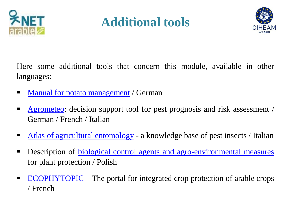

# **Additional tools**



Here some additional tools that concern this module, available in other languages:

- Manual for potato [management](http://farmknowledge.org/index.php/search-for-ok-tools?v=31006) / German
- **[Agrometeo](http://farmknowledge.org/index.php/search-for-ok-tools?v=30592):** decision support tool for pest prognosis and risk assessment / German / French / Italian
- Atlas of agricultural [entomology](http://farmknowledge.org/index.php/search-for-ok-tools?v=30589) a knowledge base of pest insects / Italian
- **Description of <u>biological control agents and [agro-environmental](http://farmknowledge.org/index.php/search-for-ok-tools?v=30577) measures</u>** for plant protection / Polish
- $\blacksquare$  [ECOPHYTOPIC](http://farmknowledge.org/index.php/search-for-ok-tools?v=30584) The portal for integrated crop protection of arable crops / French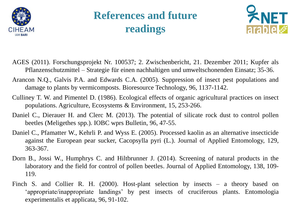

#### **References and future readings**



- AGES (2011). Forschungsprojekt Nr. 100537; 2. Zwischenbericht, 21. Dezember 2011; Kupfer als Pflanzenschutzmittel – Strategie für einen nachhaltigen und umweltschonenden Einsatz; 35-36.
- Arancon N.Q., Galvis P.A. and Edwards C.A. (2005). Suppression of insect pest populations and damage to plants by vermicomposts. Bioresource Technology, 96, 1137-1142.
- Culliney T. W. and Pimentel D. (1986). Ecological effects of organic agricultural practices on insect populations. Agriculture, Ecosystems & Environment, 15, 253-266.
- Daniel C., Dierauer H. and Clerc M. (2013). The potential of silicate rock dust to control pollen beetles (Meligethes spp.). IOBC wprs Bulletin, 96, 47-55.
- Daniel C., Pfamatter W., Kehrli P. and Wyss E. (2005). Processed kaolin as an alternative insecticide against the European pear sucker, Cacopsylla pyri (L.). Journal of Applied Entomology, 129, 363-367.
- Dorn B., Jossi W., Humphrys C. and Hiltbrunner J. (2014). Screening of natural products in the laboratory and the field for control of pollen beetles. Journal of Applied Entomology, 138, 109- 119.
- Finch S. and Collier R. H. (2000). Host-plant selection by insects a theory based on 'appropriate/inappropriate landings' by pest insects of cruciferous plants. Entomologia experimentalis et applicata, 96, 91-102.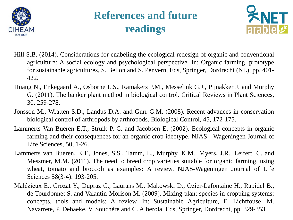

#### **References and future readings**



- Hill S.B. (2014). Considerations for enabeling the ecological redesign of organic and conventional agriculture: A social ecology and psychological perspective. In: Organic farming, prototype for sustainable agricultures, S. Bellon and S. Penvern, Eds, Springer, Dordrecht (NL), pp. 401- 422.
- Huang N., Enkegaard A., Osborne L.S., Ramakers P.M., Messelink G.J., Pijnakker J. and Murphy G. (2011). The banker plant method in biological control. Critical Reviews in Plant Sciences, 30, 259-278.
- Jonsson M., Wratten S.D., Landus D.A. and Gurr G.M. (2008). Recent advances in conservation biological control of arthropods by arthropods. Biological Control, 45, 172-175.
- Lammerts Van Bueren E.T., Struik P. C. and Jacobsen E. (2002). Ecological concepts in organic farming and their consequences for an organic crop ideotype. NJAS - Wageningen Journal of Life Sciences, 50, 1-26.
- Lammerts van Bueren, E.T., Jones, S.S., Tamm, L., Murphy, K.M., Myers, J.R., Leifert, C. and Messmer, M.M. (2011). The need to breed crop varieties suitable for organic farming, using wheat, tomato and broccoli as examples: A review. NJAS-Wageningen Journal of Life Sciences 58(3-4): 193-205.
- Malézieux E., Crozat Y., Dupraz C., Laurans M., Makowski D., Ozier-Lafontaine H., Rapidel B., de Tourdonnet S. and Valantin-Morison M. (2009). Mixing plant species in cropping systems: concepts, tools and models: A review. In: Sustainable Agriculture, E. Lichtfouse, M. Navarrete, P. Debaeke, V. Souchère and C. Alberola, Eds, Springer, Dordrecht, pp. 329-353.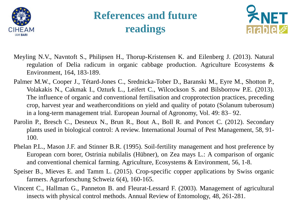

#### **References and future readings**



- Meyling N.V., Navntoft S., Philipsen H., Thorup-Kristensen K. and Eilenberg J. (2013). Natural regulation of Delia radicum in organic cabbage production. Agriculture Ecosystems & Environment, 164, 183-189.
- Palmer M.W., Cooper J., Tétard-Jones C., Srednicka-Tober D., Baranski M., Eyre M., Shotton P., Volakakis N., Cakmak I., Ozturk L., Leifert C., Wilcockson S. and Bilsborrow P.E. (2013). The influence of organic and conventional fertilisation and cropprotection practices, preceding crop, harvest year and weatherconditions on yield and quality of potato (Solanum tuberosum) in a long-term management trial. European Journal of Agronomy, Vol. 49: 83– 92.
- Parolin P., Bresch C., Desneux N., Brun R., Bout A., Boll R. and Poncet C. (2012). Secondary plants used in biological control: A review. International Journal of Pest Management, 58, 91- 100.
- Phelan P.L., Mason J.F. and Stinner B.R. (1995). Soil-fertility management and host preference by European corn borer, Ostrinia nubilalis (Hübner), on Zea mays L.: A comparison of organic and conventional chemical farming. Agriculture, Ecosystems & Environment, 56, 1-8.
- Speiser B., Mieves E. and Tamm L. (2015). Crop-specific copper applications by Swiss organic farmers. Agrarforschung Schweiz 6(4), 160-165.
- Vincent C., Hallman G., Panneton B. and Fleurat-Lessard F. (2003). Management of agricultural insects with physical control methods. Annual Review of Entomology, 48, 261-281.